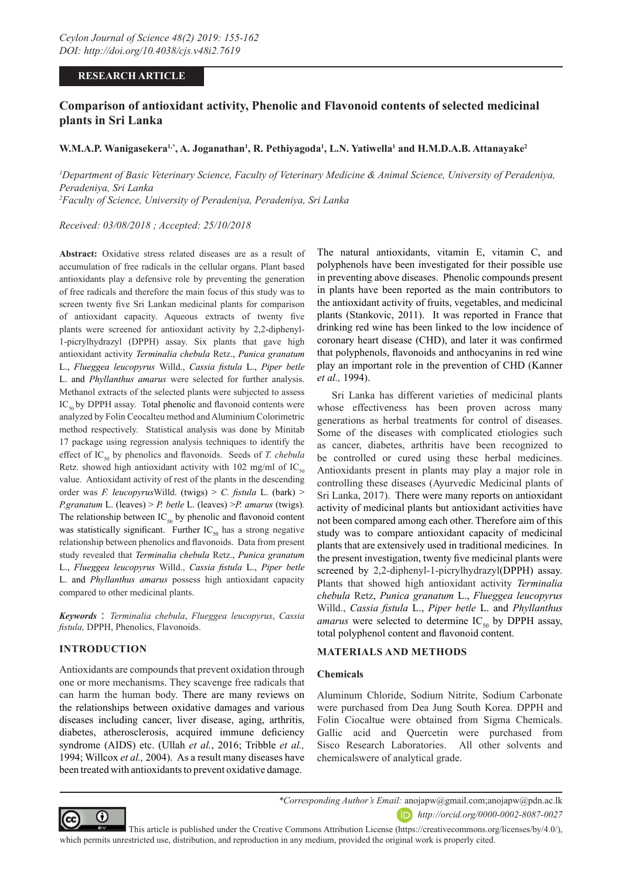### **RESEARCH ARTICLE**

# **Comparison of antioxidant activity, Phenolic and Flavonoid contents of selected medicinal plants in Sri Lanka**

### **W.M.A.P. Wanigasekera1,\*, A. Joganathan1 , R. Pethiyagoda1 , L.N. Yatiwella1 and H.M.D.A.B. Attanayake2**

<sup>*I*</sup> Department of Basic Veterinary Science, Faculty of Veterinary Medicine & Animal Science, University of Peradeniya, *Peradeniya, Sri Lanka 2 Faculty of Science, University of Peradeniya, Peradeniya, Sri Lanka*

*Received: 03/08/2018 ; Accepted: 25/10/2018*

**Abstract:** Oxidative stress related diseases are as a result of accumulation of free radicals in the cellular organs. Plant based antioxidants play a defensive role by preventing the generation of free radicals and therefore the main focus of this study was to screen twenty five Sri Lankan medicinal plants for comparison of antioxidant capacity. Aqueous extracts of twenty five plants were screened for antioxidant activity by 2,2-diphenyl-1-picrylhydrazyl (DPPH) assay. Six plants that gave high antioxidant activity *Terminalia chebula* Retz., *Punica granatum*  L., *Flueggea leucopyrus* Willd., *Cassia fistula* L., *Piper betle* L. and *Phyllanthus amarus* were selected for further analysis. Methanol extracts of the selected plants were subjected to assess  $IC_{50}$  by DPPH assay. Total phenolic and flavonoid contents were analyzed by Folin Ceocalteu method and Aluminium Colorimetric method respectively. Statistical analysis was done by Minitab 17 package using regression analysis techniques to identify the effect of IC<sub>50</sub> by phenolics and flavonoids. Seeds of *T. chebula* Retz. showed high antioxidant activity with 102 mg/ml of  $IC_{50}$ value. Antioxidant activity of rest of the plants in the descending order was *F. leucopyrus*Willd. (twigs) > *C. fistula* L. (bark) > *P.granatum* L. (leaves) > *P. betle* L. (leaves) >*P. amarus* (twigs)*.*  The relationship between  $IC_{50}$  by phenolic and flavonoid content was statistically significant. Further  $IC_{50}$  has a strong negative relationship between phenolics and flavonoids. Data from present study revealed that *Terminalia chebula* Retz., *Punica granatum*  L., *Flueggea leucopyrus* Willd., *Cassia fistula* L., *Piper betle* L. and *Phyllanthus amarus* possess high antioxidant capacity compared to other medicinal plants.

*Keywords* : *Terminalia chebula*, *Flueggea leucopyrus*, *Cassia fistula,* DPPH, Phenolics, Flavonoids.

## **INTRODUCTION**

Antioxidants are compounds that prevent oxidation through one or more mechanisms. They scavenge free radicals that can harm the human body. There are many reviews on the relationships between oxidative damages and various diseases including cancer, liver disease, aging, arthritis, diabetes, atherosclerosis, acquired immune deficiency syndrome (AIDS) etc. (Ullah *et al.*, 2016; Tribble *et al.,* 1994; Willcox *et al.,* 2004). As a result many diseases have been treated with antioxidants to prevent oxidative damage.

The natural antioxidants, vitamin E, vitamin C, and polyphenols have been investigated for their possible use in preventing above diseases. Phenolic compounds present in plants have been reported as the main contributors to the antioxidant activity of fruits, vegetables, and medicinal plants (Stankovic, 2011). It was reported in France that drinking red wine has been linked to the low incidence of coronary heart disease (CHD), and later it was confirmed that polyphenols, flavonoids and anthocyanins in red wine play an important role in the prevention of CHD (Kanner *et al.,* 1994).

Sri Lanka has different varieties of medicinal plants whose effectiveness has been proven across many generations as herbal treatments for control of diseases. Some of the diseases with complicated etiologies such as cancer, diabetes, arthritis have been recognized to be controlled or cured using these herbal medicines. Antioxidants present in plants may play a major role in controlling these diseases (Ayurvedic Medicinal plants of Sri Lanka, 2017). There were many reports on antioxidant activity of medicinal plants but antioxidant activities have not been compared among each other. Therefore aim of this study was to compare antioxidant capacity of medicinal plants that are extensively used in traditional medicines. In the present investigation, twenty five medicinal plants were screened by 2,2-diphenyl-1-picrylhydrazyl(DPPH) assay. Plants that showed high antioxidant activity *Terminalia chebula* Retz, *Punica granatum* L., *Flueggea leucopyrus*  Willd., *Cassia fistula* L., *Piper betle* L. and *Phyllanthus amarus* were selected to determine  $IC_{50}$  by DPPH assay, total polyphenol content and flavonoid content.

### **MATERIALS AND METHODS**

### **Chemicals**

Aluminum Chloride, Sodium Nitrite, Sodium Carbonate were purchased from Dea Jung South Korea. DPPH and Folin Ciocaltue were obtained from Sigma Chemicals. Gallic acid and Quercetin were purchased from Sisco Research Laboratories. All other solvents and chemicalswere of analytical grade.



 This article is published under the Creative Commons Attribution License (https://creativecommons.org/licenses/by/4.0/), which permits unrestricted use, distribution, and reproduction in any medium, provided the original work is properly cited.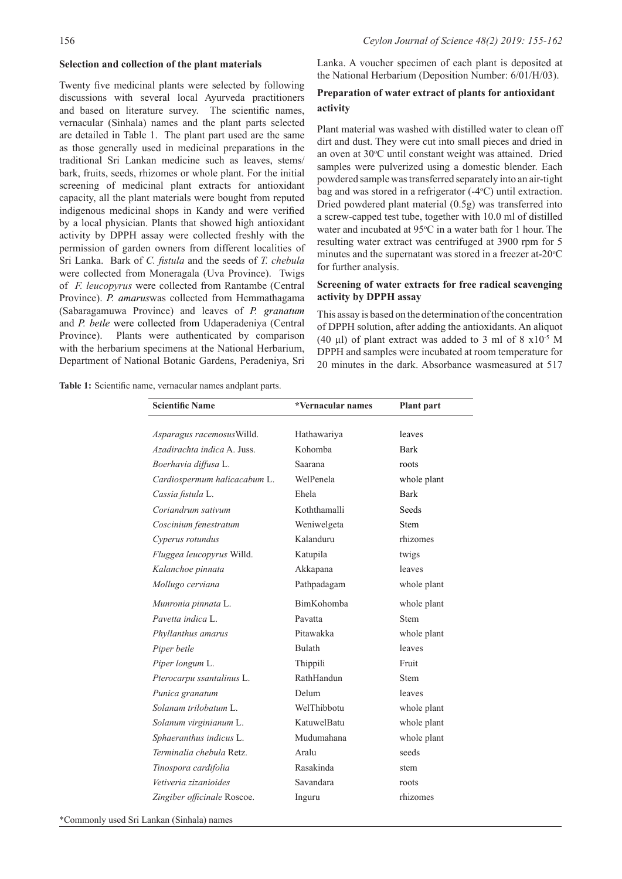#### **Selection and collection of the plant materials**

Twenty five medicinal plants were selected by following discussions with several local Ayurveda practitioners and based on literature survey. The scientific names, vernacular (Sinhala) names and the plant parts selected are detailed in Table 1. The plant part used are the same as those generally used in medicinal preparations in the traditional Sri Lankan medicine such as leaves, stems/ bark, fruits, seeds, rhizomes or whole plant. For the initial screening of medicinal plant extracts for antioxidant capacity, all the plant materials were bought from reputed indigenous medicinal shops in Kandy and were verified by a local physician. Plants that showed high antioxidant activity by DPPH assay were collected freshly with the permission of garden owners from different localities of Sri Lanka. Bark of *C. fistula* and the seeds of *T. chebula* were collected from Moneragala (Uva Province). Twigs of *F. leucopyrus* were collected from Rantambe (Central Province). *P. amarus*was collected from Hemmathagama (Sabaragamuwa Province) and leaves of *P. granatum* and *P. betle* were collected from Udaperadeniya (Central Province). Plants were authenticated by comparison with the herbarium specimens at the National Herbarium, Department of National Botanic Gardens, Peradeniya, Sri Lanka. A voucher specimen of each plant is deposited at the National Herbarium (Deposition Number: 6/01/H/03).

### **Preparation of water extract of plants for antioxidant activity**

Plant material was washed with distilled water to clean off dirt and dust. They were cut into small pieces and dried in an oven at 30°C until constant weight was attained. Dried samples were pulverized using a domestic blender. Each powdered sample was transferred separately into an air-tight bag and was stored in a refrigerator  $(-4^{\circ}C)$  until extraction. Dried powdered plant material (0.5g) was transferred into a screw-capped test tube, together with 10.0 ml of distilled water and incubated at 95°C in a water bath for 1 hour. The resulting water extract was centrifuged at 3900 rpm for 5 minutes and the supernatant was stored in a freezer at-20°C for further analysis.

### **Screening of water extracts for free radical scavenging activity by DPPH assay**

This assay is based on the determination of the concentration of DPPH solution, after adding the antioxidants. An aliquot (40 µl) of plant extract was added to 3 ml of  $8 \times 10^{-5}$  M DPPH and samples were incubated at room temperature for 20 minutes in the dark. Absorbance wasmeasured at 517

**Table 1:** Scientific name, vernacular names andplant parts.

| <b>Scientific Name</b>       | *Vernacular names  | <b>Plant</b> part |
|------------------------------|--------------------|-------------------|
|                              |                    |                   |
| Asparagus racemosus Willd.   | Hathawariya        | leaves            |
| Azadirachta indica A. Juss.  | Kohomba            | <b>Bark</b>       |
| Boerhavia diffusa L.         | Saarana            | roots             |
| Cardiospermum halicacabum L. | WelPenela          | whole plant       |
| Cassia fistula L.            | Ehela              | <b>Bark</b>       |
| Coriandrum sativum           | Koththamalli       | Seeds             |
| Coscinium fenestratum        | Weniwelgeta        | <b>Stem</b>       |
| Cyperus rotundus             | Kalanduru          | rhizomes          |
| Fluggea leucopyrus Willd.    | Katupila           | twigs             |
| Kalanchoe pinnata            | Akkapana           | leaves            |
| Mollugo cerviana             | Pathpadagam        | whole plant       |
| Munronia pinnata L.          | BimKohomba         | whole plant       |
| Pavetta indica L.            | Pavatta            | <b>Stem</b>       |
| Phyllanthus amarus           | Pitawakka          | whole plant       |
| Piper betle                  | Bulath             | leaves            |
| Piper longum L.              | Thippili           | Fruit             |
| Pterocarpu ssantalinus L.    | RathHandun         | <b>Stem</b>       |
| Punica granatum              | Delum              | leaves            |
| Solanam trilobatum L.        | WelThibbotu        | whole plant       |
| Solanum virginianum L.       | <b>KatuwelBatu</b> | whole plant       |
| Sphaeranthus indicus L.      | Mudumahana         | whole plant       |
| Terminalia chebula Retz.     | Aralu              | seeds             |
| Tinospora cardifolia         | Rasakinda          | stem              |
| Vetiveria zizanioides        | Savandara          | roots             |
| Zingiber officinale Roscoe.  | Inguru             | rhizomes          |

\*Commonly used Sri Lankan (Sinhala) names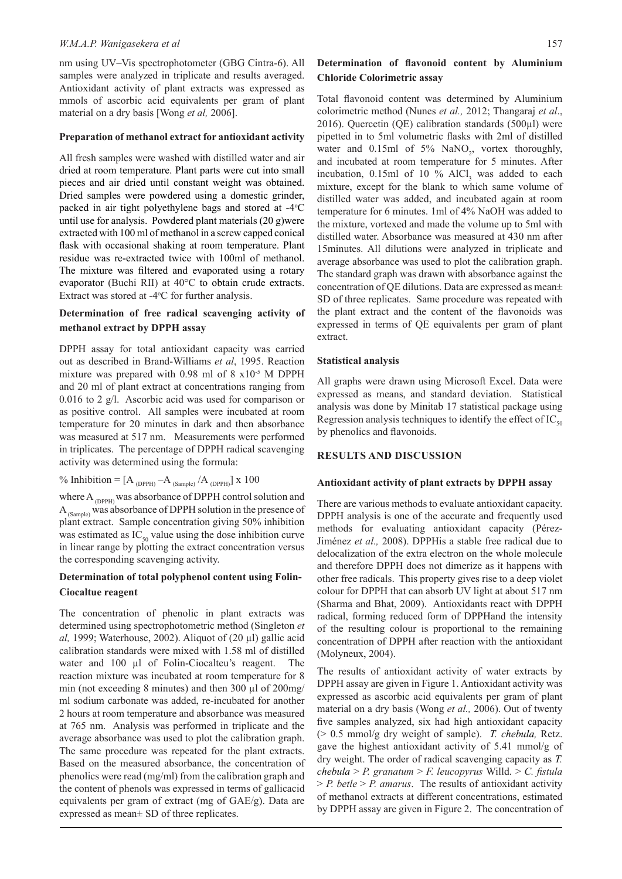#### *W.M.A.P. Wanigasekera et al* 157

nm using UV–Vis spectrophotometer (GBG Cintra-6). All samples were analyzed in triplicate and results averaged. Antioxidant activity of plant extracts was expressed as mmols of ascorbic acid equivalents per gram of plant material on a dry basis [Wong *et al,* 2006].

#### **Preparation of methanol extract for antioxidant activity**

All fresh samples were washed with distilled water and air dried at room temperature. Plant parts were cut into small pieces and air dried until constant weight was obtained. Dried samples were powdered using a domestic grinder, packed in air tight polyethylene bags and stored at -4°C until use for analysis. Powdered plant materials (20 g)were extracted with 100 ml of methanol in a screw capped conical flask with occasional shaking at room temperature. Plant residue was re-extracted twice with 100ml of methanol. The mixture was filtered and evaporated using a rotary evaporator (Buchi RII) at 40°C to obtain crude extracts. Extract was stored at  $-4$ °C for further analysis.

### **Determination of free radical scavenging activity of methanol extract by DPPH assay**

DPPH assay for total antioxidant capacity was carried out as described in Brand-Williams *et al*, 1995. Reaction mixture was prepared with 0.98 ml of 8 x10-5 M DPPH and 20 ml of plant extract at concentrations ranging from 0.016 to 2 g/l. Ascorbic acid was used for comparison or as positive control. All samples were incubated at room temperature for 20 minutes in dark and then absorbance was measured at 517 nm. Measurements were performed in triplicates. The percentage of DPPH radical scavenging activity was determined using the formula:

% Inhibition =  $[A_{(DPPH)} - A_{(Sample)} / A_{(DPPH)}] x 100$ 

where  $\mathbf{A}_{(\text{DPPH})}$  was absorbance of DPPH control solution and  $A_{(Sample)}$  was absorbance of DPPH solution in the presence of plant extract. Sample concentration giving 50% inhibition was estimated as  $IC_{50}$  value using the dose inhibition curve in linear range by plotting the extract concentration versus the corresponding scavenging activity.

### **Determination of total polyphenol content using Folin-Ciocaltue reagent**

The concentration of phenolic in plant extracts was determined using spectrophotometric method (Singleton *et al,* 1999; Waterhouse, 2002). Aliquot of (20 µl) gallic acid calibration standards were mixed with 1.58 ml of distilled water and 100 µl of Folin-Ciocalteu's reagent. The reaction mixture was incubated at room temperature for 8 min (not exceeding 8 minutes) and then 300 µl of 200mg/ ml sodium carbonate was added, re-incubated for another 2 hours at room temperature and absorbance was measured at 765 nm. Analysis was performed in triplicate and the average absorbance was used to plot the calibration graph. The same procedure was repeated for the plant extracts. Based on the measured absorbance, the concentration of phenolics were read (mg/ml) from the calibration graph and the content of phenols was expressed in terms of gallicacid equivalents per gram of extract (mg of GAE/g). Data are expressed as mean± SD of three replicates.

### **Determination of flavonoid content by Aluminium Chloride Colorimetric assay**

Total flavonoid content was determined by Aluminium colorimetric method (Nunes *et al.,* 2012; Thangaraj *et al*., 2016). Quercetin (QE) calibration standards (500µl) were pipetted in to 5ml volumetric flasks with 2ml of distilled water and  $0.15$ ml of 5% NaNO<sub>2</sub>, vortex thoroughly, and incubated at room temperature for 5 minutes. After incubation,  $0.15$ ml of  $10\%$  AlCl<sub>3</sub> was added to each mixture, except for the blank to which same volume of distilled water was added, and incubated again at room temperature for 6 minutes. 1ml of 4% NaOH was added to the mixture, vortexed and made the volume up to 5ml with distilled water. Absorbance was measured at 430 nm after 15minutes. All dilutions were analyzed in triplicate and average absorbance was used to plot the calibration graph. The standard graph was drawn with absorbance against the concentration of QE dilutions. Data are expressed as mean± SD of three replicates. Same procedure was repeated with the plant extract and the content of the flavonoids was expressed in terms of QE equivalents per gram of plant extract.

#### **Statistical analysis**

All graphs were drawn using Microsoft Excel. Data were expressed as means, and standard deviation. Statistical analysis was done by Minitab 17 statistical package using Regression analysis techniques to identify the effect of  $IC_{\epsilon_0}$ by phenolics and flavonoids.

### **RESULTS AND DISCUSSION**

#### **Antioxidant activity of plant extracts by DPPH assay**

There are various methods to evaluate antioxidant capacity. DPPH analysis is one of the accurate and frequently used methods for evaluating antioxidant capacity (Pérez-Jiménez *et al.,* 2008). DPPHis a stable free radical due to delocalization of the extra electron on the whole molecule and therefore DPPH does not dimerize as it happens with other free radicals. This property gives rise to a deep violet colour for DPPH that can absorb UV light at about 517 nm (Sharma and Bhat, 2009). Antioxidants react with DPPH radical, forming reduced form of DPPHand the intensity of the resulting colour is proportional to the remaining concentration of DPPH after reaction with the antioxidant (Molyneux, 2004).

The results of antioxidant activity of water extracts by DPPH assay are given in Figure 1. Antioxidant activity was expressed as ascorbic acid equivalents per gram of plant material on a dry basis (Wong *et al.,* 2006). Out of twenty five samples analyzed, six had high antioxidant capacity (> 0.5 mmol/g dry weight of sample). *T. chebula,* Retz. gave the highest antioxidant activity of 5.41 mmol/g of dry weight. The order of radical scavenging capacity as *T. chebula* > *P. granatum* > *F. leucopyrus* Willd. > *C. fistula*  > *P. betle* > *P. amarus*. The results of antioxidant activity of methanol extracts at different concentrations, estimated by DPPH assay are given in Figure 2. The concentration of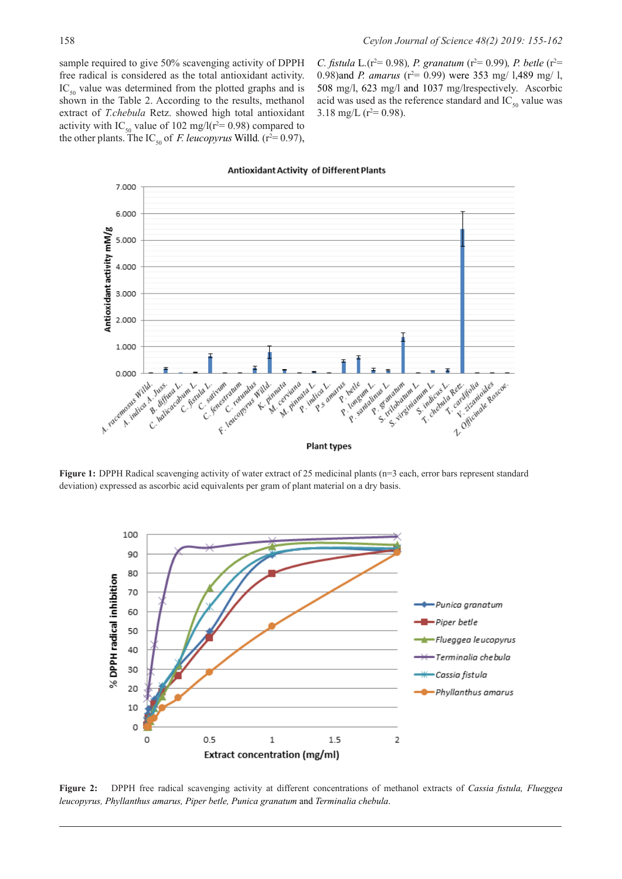sample required to give 50% scavenging activity of DPPH free radical is considered as the total antioxidant activity.  $IC_{50}$  value was determined from the plotted graphs and is shown in the Table 2. According to the results, methanol extract of *T.chebula* Retz. showed high total antioxidant activity with IC<sub>50</sub> value of 102 mg/l( $r^2$ = 0.98) compared to the other plants. The IC<sub>50</sub> of *F. leucopyrus* Willd. ( $r^2 = 0.97$ ), *C.* fistula L.( $r^2$ = 0.98)*, P.* granatum ( $r^2$ = 0.99)*, P. betle* ( $r^2$ = 0.98)and *P. amarus* ( $r^2$  = 0.99) were 353 mg/ 1,489 mg/ 1, 508 mg/l, 623 mg/l and 1037 mg/lrespectively. Ascorbic acid was used as the reference standard and  $IC_{50}$  value was 3.18 mg/L ( $r^2$ = 0.98).

#### 7.000 6.000 Antioxidant activity mM/g 5.000 4.000 3,000 2.000 1.000 0.000 F. letterprise K. Pr Red digital description caratifolia de Roy A. racementation P Le Registration Willd innata in Licus Lineard sativam anim nata<br>Cerviana Linux Liquidin is Longtonian L. E. Senest a pinnata<br>A pinnata l na Matica L R 5 amarus emosus Willd Just Limbung bette Iuss<sub>hea</sub> L. inn Lamm Leus etle um L.<br>ongum L. enatuman Lamm id. Juss ia l bette um Ŷ. **Plant types**

#### **Antioxidant Activity of Different Plants**

Figure 1: DPPH Radical scavenging activity of water extract of 25 medicinal plants (n=3 each, error bars represent standard deviation) expressed as ascorbic acid equivalents per gram of plant material on a dry basis.



**Figure 2:** DPPH free radical scavenging activity at different concentrations of methanol extracts of *Cassia fistula, Flueggea leucopyrus, Phyllanthus amarus, Piper betle, Punica granatum* and *Terminalia chebula*.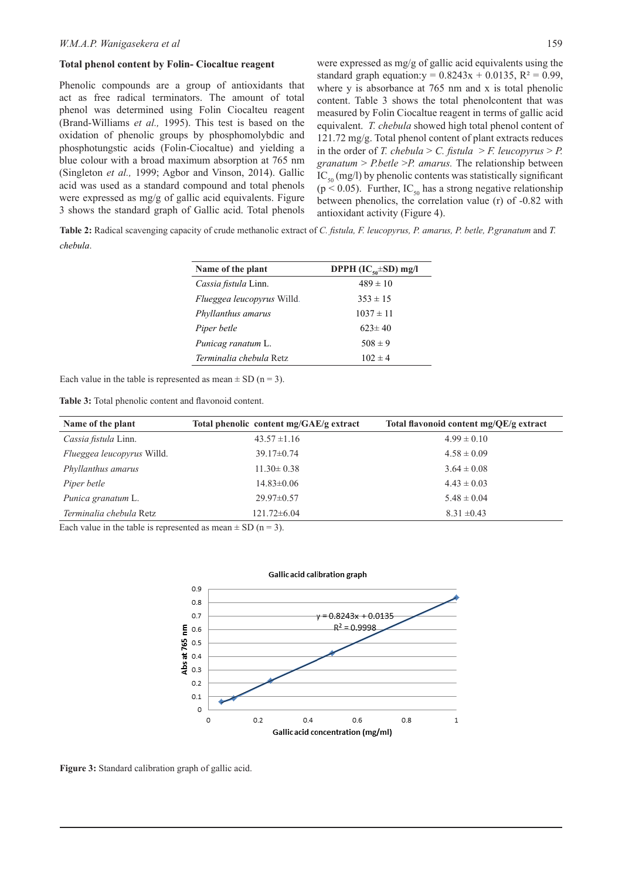#### **Total phenol content by Folin- Ciocaltue reagent**

Phenolic compounds are a group of antioxidants that act as free radical terminators. The amount of total phenol was determined using Folin Ciocalteu reagent (Brand-Williams *et al.,* 1995). This test is based on the oxidation of phenolic groups by phosphomolybdic and phosphotungstic acids (Folin-Ciocaltue) and yielding a blue colour with a broad maximum absorption at 765 nm (Singleton *et al.,* 1999; Agbor and Vinson, 2014). Gallic acid was used as a standard compound and total phenols were expressed as mg/g of gallic acid equivalents. Figure 3 shows the standard graph of Gallic acid. Total phenols were expressed as mg/g of gallic acid equivalents using the standard graph equation: $y = 0.8243x + 0.0135$ ,  $R^2 = 0.99$ , where y is absorbance at 765 nm and x is total phenolic content. Table 3 shows the total phenolcontent that was measured by Folin Ciocaltue reagent in terms of gallic acid equivalent. *T. chebula* showed high total phenol content of 121.72 mg/g. Total phenol content of plant extracts reduces in the order of *T. chebula* > *C. fistula* > *F. leucopyrus* > *P. granatum* > *P.betle* >*P. amarus.* The relationship between  $IC_{50}$  (mg/l) by phenolic contents was statistically significant ( $p \le 0.05$ ). Further, IC<sub>50</sub> has a strong negative relationship between phenolics, the correlation value (r) of -0.82 with antioxidant activity (Figure 4).

**Table 2:** Radical scavenging capacity of crude methanolic extract of *C. fistula, F. leucopyrus, P. amarus, P. betle, P.granatum* and *T. chebula*.

| Name of the plant                 | DPPH $(IC_{50} \pm SD)$ mg/l |
|-----------------------------------|------------------------------|
| Cassia fistula Linn.              | $489 \pm 10$                 |
| <i>Flueggea leucopyrus</i> Willd. | $353 \pm 15$                 |
| Phyllanthus amarus                | $1037 \pm 11$                |
| Piper betle                       | $623 \pm 40$                 |
| Punicag ranatum L.                | $508 \pm 9$                  |
| Terminalia chebula Retz           | $102 \pm 4$                  |

Each value in the table is represented as mean  $\pm$  SD (n = 3).

**Table 3:** Total phenolic content and flavonoid content.

| Name of the plant                 | Total phenolic content mg/GAE/g extract | Total flavonoid content $mg/QE/g$ extract |
|-----------------------------------|-----------------------------------------|-------------------------------------------|
| Cassia fistula Linn.              | $43.57 \pm 1.16$                        | $4.99 \pm 0.10$                           |
| <i>Flueggea leucopyrus</i> Willd. | $39.17\pm0.74$                          | $4.58 \pm 0.09$                           |
| Phyllanthus amarus                | $11.30 \pm 0.38$                        | $3.64 \pm 0.08$                           |
| Piper betle                       | $14.83 \pm 0.06$                        | $4.43 \pm 0.03$                           |
| <i>Punica granatum L.</i>         | $29.97 \pm 0.57$                        | $5.48 \pm 0.04$                           |
| Terminalia chebula Retz           | $121.72\pm 6.04$                        | $8.31 \pm 0.43$                           |

Each value in the table is represented as mean  $\pm$  SD (n = 3).



**Figure 3:** Standard calibration graph of gallic acid.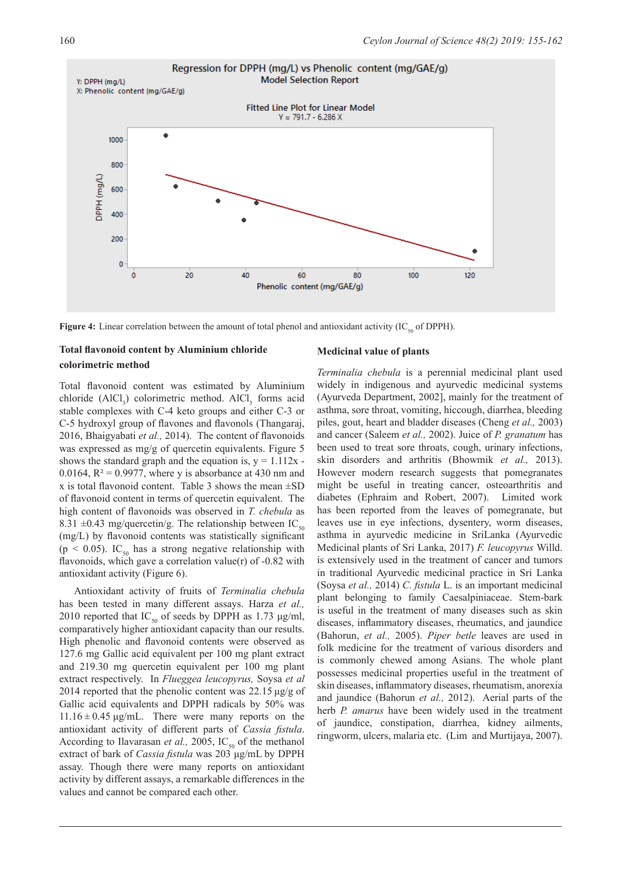

**Figure 4:** Linear correlation between the amount of total phenol and antioxidant activity ( $IC_{50}$  of DPPH).

### **Total flavonoid content by Aluminium chloride colorimetric method**

Total flavonoid content was estimated by Aluminium chloride  $(AICl_3)$  colorimetric method.  $AICl_3$  forms acid stable complexes with C-4 keto groups and either C-3 or C-5 hydroxyl group of flavones and flavonols (Thangaraj, 2016, Bhaigyabati *et al.,* 2014). The content of flavonoids was expressed as mg/g of quercetin equivalents. Figure 5 shows the standard graph and the equation is,  $y = 1.112x$ . 0.0164,  $R^2 = 0.9977$ , where y is absorbance at 430 nm and x is total flavonoid content. Table 3 shows the mean  $\pm SD$ of flavonoid content in terms of quercetin equivalent. The high content of flavonoids was observed in *T. chebula* as 8.31  $\pm$ 0.43 mg/quercetin/g. The relationship between IC<sub>50</sub> (mg/L) by flavonoid contents was statistically significant (p < 0.05). IC<sub>50</sub> has a strong negative relationship with flavonoids, which gave a correlation value(r) of -0.82 with antioxidant activity (Figure 6).

Antioxidant activity of fruits of *Terminalia chebula* has been tested in many different assays. Harza *et al.,* 2010 reported that IC<sub>50</sub> of seeds by DPPH as 1.73  $\mu$ g/ml, comparatively higher antioxidant capacity than our results. High phenolic and flavonoid contents were observed as 127.6 mg Gallic acid equivalent per 100 mg plant extract and 219.30 mg quercetin equivalent per 100 mg plant extract respectively. In *Flueggea leucopyrus,* Soysa *et al* 2014 reported that the phenolic content was 22.15 μg/g of Gallic acid equivalents and DPPH radicals by 50% was  $11.16 \pm 0.45$  μg/mL. There were many reports on the antioxidant activity of different parts of *Cassia fistula*. According to Ilavarasan *et al.*, 2005, IC<sub>50</sub> of the methanol extract of bark of *Cassia fistula* was 203 μg/mL by DPPH assay. Though there were many reports on antioxidant activity by different assays, a remarkable differences in the values and cannot be compared each other.

### **Medicinal value of plants**

*Terminalia chebula* is a perennial medicinal plant used widely in indigenous and ayurvedic medicinal systems (Ayurveda Department, 2002], mainly for the treatment of asthma, sore throat, vomiting, hiccough, diarrhea, bleeding piles, gout, heart and bladder diseases (Cheng *et al.,* 2003) and cancer (Saleem *et al.,* 2002). Juice of *P. granatum* has been used to treat sore throats, cough, urinary infections, skin disorders and arthritis (Bhowmik *et al.,* 2013). However modern research suggests that pomegranates might be useful in treating cancer, osteoarthritis and diabetes (Ephraim and Robert, 2007). Limited work has been reported from the leaves of pomegranate, but leaves use in eye infections, dysentery, worm diseases, asthma in ayurvedic medicine in SriLanka (Ayurvedic Medicinal plants of Sri Lanka, 2017) *F. leucopyrus* Willd. is extensively used in the treatment of cancer and tumors in traditional Ayurvedic medicinal practice in Sri Lanka (Soysa *et al.,* 2014) *C. fistula* L. is an important medicinal plant belonging to family Caesalpiniaceae. Stem-bark is useful in the treatment of many diseases such as skin diseases, inflammatory diseases, rheumatics, and jaundice (Bahorun, *et al.,* 2005). *Piper betle* leaves are used in folk medicine for the treatment of various disorders and is commonly chewed among Asians. The whole plant possesses medicinal properties useful in the treatment of skin diseases, inflammatory diseases, rheumatism, anorexia and jaundice (Bahorun *et al.,* 2012). Aerial parts of the herb *P. amarus* have been widely used in the treatment of jaundice, constipation, diarrhea, kidney ailments, ringworm, ulcers, malaria etc. (Lim and Murtijaya, 2007).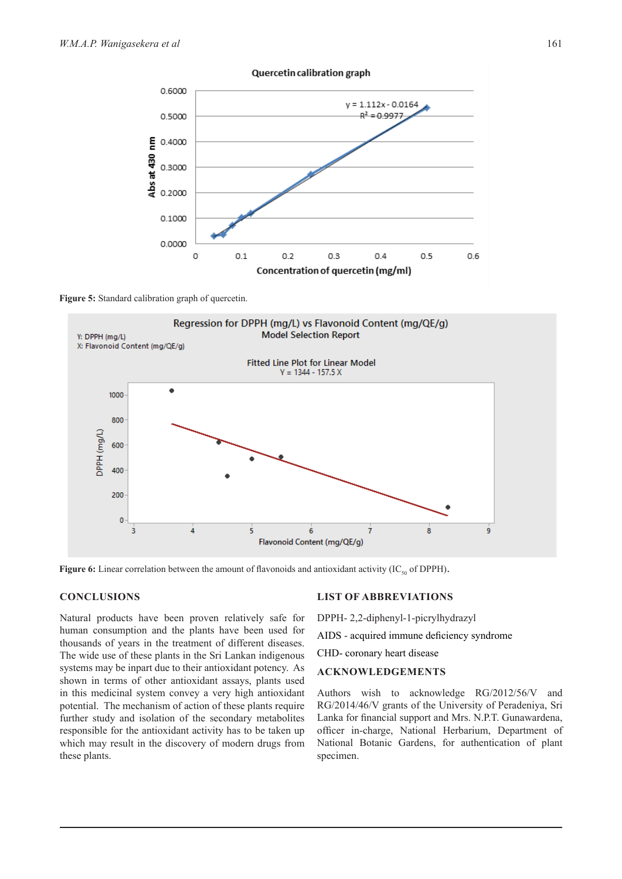

#### Quercetin calibration graph

Figure 5: Standard calibration graph of quercetin.



**Figure 6:** Linear correlation between the amount of flavonoids and antioxidant activity (IC<sub>50</sub> of DPPH).

#### **CONCLUSIONS**

Natural products have been proven relatively safe for human consumption and the plants have been used for thousands of years in the treatment of different diseases. The wide use of these plants in the Sri Lankan indigenous systems may be inpart due to their antioxidant potency. As shown in terms of other antioxidant assays, plants used in this medicinal system convey a very high antioxidant potential. The mechanism of action of these plants require further study and isolation of the secondary metabolites responsible for the antioxidant activity has to be taken up which may result in the discovery of modern drugs from these plants.

### **LIST OF ABBREVIATIONS**

DPPH- 2,2-diphenyl-1-picrylhydrazyl

AIDS - acquired immune deficiency syndrome

CHD- coronary heart disease

### **ACKNOWLEDGEMENTS**

Authors wish to acknowledge RG/2012/56/V and RG/2014/46/V grants of the University of Peradeniya, Sri Lanka for financial support and Mrs. N.P.T. Gunawardena, officer in-charge, National Herbarium, Department of National Botanic Gardens, for authentication of plant specimen.